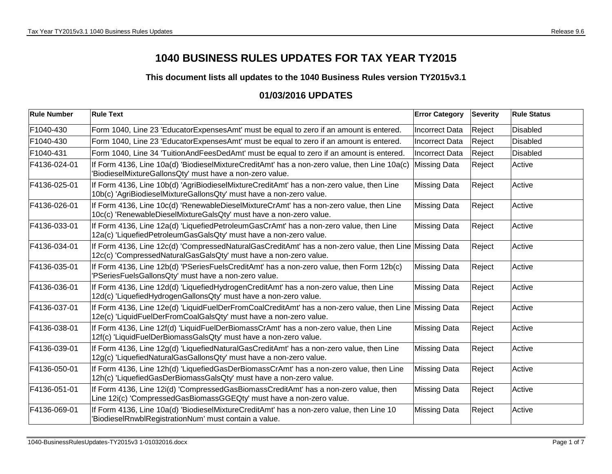## **1040 BUSINESS RULES UPDATES FOR TAX YEAR TY2015**

**This document lists all updates to the 1040 Business Rules version TY2015v3.1**

## **01/03/2016 UPDATES**

| <b>Rule Number</b> | <b>Rule Text</b>                                                                                                                                                             | <b>Error Category</b> | <b>Severity</b> | <b>Rule Status</b> |
|--------------------|------------------------------------------------------------------------------------------------------------------------------------------------------------------------------|-----------------------|-----------------|--------------------|
| F1040-430          | Form 1040, Line 23 'EducatorExpensesAmt' must be equal to zero if an amount is entered.                                                                                      | <b>Incorrect Data</b> | Reject          | <b>Disabled</b>    |
| F1040-430          | Form 1040, Line 23 'EducatorExpensesAmt' must be equal to zero if an amount is entered.                                                                                      | <b>Incorrect Data</b> | Reject          | <b>Disabled</b>    |
| F1040-431          | Form 1040, Line 34 'TuitionAndFeesDedAmt' must be equal to zero if an amount is entered.                                                                                     | <b>Incorrect Data</b> | Reject          | <b>Disabled</b>    |
| F4136-024-01       | If Form 4136, Line 10a(d) 'BiodieselMixtureCreditAmt' has a non-zero value, then Line 10a(c)<br>'BiodieselMixtureGallonsQty' must have a non-zero value.                     | <b>Missing Data</b>   | Reject          | Active             |
| F4136-025-01       | If Form 4136, Line 10b(d) 'AgriBiodieselMixtureCreditAmt' has a non-zero value, then Line<br>10b(c) 'AgriBiodieselMixtureGallonsQty' must have a non-zero value.             | <b>Missing Data</b>   | Reject          | Active             |
| F4136-026-01       | If Form 4136, Line 10c(d) 'RenewableDieselMixtureCrAmt' has a non-zero value, then Line<br>10c(c) 'RenewableDieselMixtureGalsQty' must have a non-zero value.                | <b>Missing Data</b>   | Reject          | Active             |
| F4136-033-01       | If Form 4136, Line 12a(d) 'LiquefiedPetroleumGasCrAmt' has a non-zero value, then Line<br>12a(c) 'LiquefiedPetroleumGasGalsQty' must have a non-zero value.                  | <b>Missing Data</b>   | Reject          | Active             |
| F4136-034-01       | If Form 4136, Line 12c(d) 'CompressedNaturalGasCreditAmt' has a non-zero value, then Line Missing Data<br>12c(c) 'CompressedNaturalGasGalsQty' must have a non-zero value.   |                       | Reject          | Active             |
| F4136-035-01       | If Form 4136, Line 12b(d) 'PSeriesFuelsCreditAmt' has a non-zero value, then Form 12b(c)<br>'PSeriesFuelsGallonsQty' must have a non-zero value.                             | <b>Missing Data</b>   | Reject          | Active             |
| F4136-036-01       | If Form 4136, Line 12d(d) 'LiquefiedHydrogenCreditAmt' has a non-zero value, then Line<br>12d(c) 'LiquefiedHydrogenGallonsQty' must have a non-zero value.                   | <b>Missing Data</b>   | Reject          | Active             |
| F4136-037-01       | If Form 4136, Line 12e(d) 'LiquidFuelDerFromCoalCreditAmt' has a non-zero value, then Line Missing Data<br>12e(c) 'LiquidFuelDerFromCoalGalsQty' must have a non-zero value. |                       | Reject          | Active             |
| F4136-038-01       | If Form 4136, Line 12f(d) 'LiquidFuelDerBiomassCrAmt' has a non-zero value, then Line<br>12f(c) 'LiquidFuelDerBiomassGalsQty' must have a non-zero value.                    | <b>Missing Data</b>   | Reject          | Active             |
| F4136-039-01       | If Form 4136, Line 12g(d) 'LiquefiedNaturalGasCreditAmt' has a non-zero value, then Line<br>12g(c) 'LiquefiedNaturalGasGallonsQty' must have a non-zero value.               | <b>Missing Data</b>   | Reject          | Active             |
| F4136-050-01       | If Form 4136, Line 12h(d) 'LiquefiedGasDerBiomassCrAmt' has a non-zero value, then Line<br>12h(c) 'LiquefiedGasDerBiomassGalsQty' must have a non-zero value.                | <b>Missing Data</b>   | Reject          | Active             |
| F4136-051-01       | If Form 4136, Line 12i(d) 'CompressedGasBiomassCreditAmt' has a non-zero value, then<br>Line 12i(c) 'CompressedGasBiomassGGEQty' must have a non-zero value.                 | <b>Missing Data</b>   | Reject          | Active             |
| F4136-069-01       | If Form 4136, Line 10a(d) 'BiodieselMixtureCreditAmt' has a non-zero value, then Line 10<br>'BiodieselRnwblRegistrationNum' must contain a value.                            | <b>Missing Data</b>   | Reject          | Active             |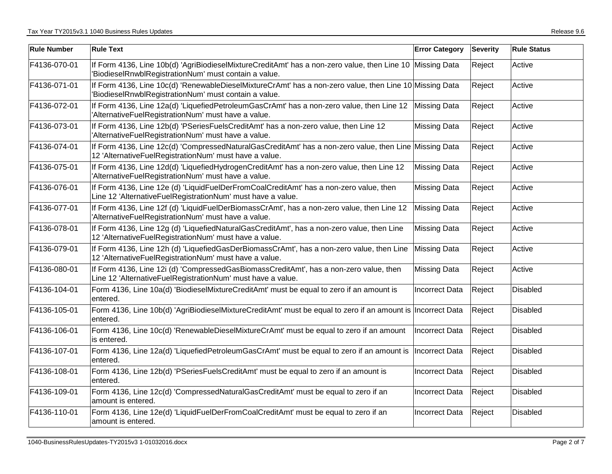| <b>Rule Number</b> | <b>Rule Text</b>                                                                                                                                                   | <b>Error Category</b> | <b>Severity</b> | <b>Rule Status</b> |
|--------------------|--------------------------------------------------------------------------------------------------------------------------------------------------------------------|-----------------------|-----------------|--------------------|
| F4136-070-01       | If Form 4136, Line 10b(d) 'AgriBiodieselMixtureCreditAmt' has a non-zero value, then Line 10 Missing Data<br>'BiodieselRnwblRegistrationNum' must contain a value. |                       | Reject          | Active             |
| F4136-071-01       | If Form 4136, Line 10c(d) 'RenewableDieselMixtureCrAmt' has a non-zero value, then Line 10 Missing Data<br>'BiodieselRnwblRegistrationNum' must contain a value.   |                       | Reject          | Active             |
| F4136-072-01       | If Form 4136, Line 12a(d) 'LiquefiedPetroleumGasCrAmt' has a non-zero value, then Line 12 Missing Data<br>'AlternativeFuelRegistrationNum' must have a value.      |                       | Reject          | Active             |
| F4136-073-01       | If Form 4136, Line 12b(d) 'PSeriesFuelsCreditAmt' has a non-zero value, then Line 12<br>'AlternativeFuelRegistrationNum' must have a value.                        | <b>Missing Data</b>   | Reject          | Active             |
| F4136-074-01       | If Form 4136, Line 12c(d) 'CompressedNaturalGasCreditAmt' has a non-zero value, then Line Missing Data<br>12 'AlternativeFuelRegistrationNum' must have a value.   |                       | Reject          | Active             |
| F4136-075-01       | If Form 4136, Line 12d(d) 'LiquefiedHydrogenCreditAmt' has a non-zero value, then Line 12<br>'AlternativeFuelRegistrationNum' must have a value.                   | <b>Missing Data</b>   | Reject          | Active             |
| F4136-076-01       | If Form 4136, Line 12e (d) 'LiquidFuelDerFromCoalCreditAmt' has a non-zero value, then<br>Line 12 'AlternativeFuelRegistrationNum' must have a value.              | <b>Missing Data</b>   | Reject          | Active             |
| F4136-077-01       | If Form 4136, Line 12f (d) 'LiquidFuelDerBiomassCrAmt', has a non-zero value, then Line 12<br>'AlternativeFuelRegistrationNum' must have a value.                  | <b>Missing Data</b>   | Reject          | Active             |
| F4136-078-01       | If Form 4136, Line 12g (d) 'LiquefiedNaturalGasCreditAmt', has a non-zero value, then Line<br>12 'AlternativeFuelRegistrationNum' must have a value.               | <b>Missing Data</b>   | Reject          | Active             |
| F4136-079-01       | If Form 4136, Line 12h (d) 'LiquefiedGasDerBiomassCrAmt', has a non-zero value, then Line<br>12 'AlternativeFuelRegistrationNum' must have a value.                | <b>Missing Data</b>   | Reject          | Active             |
| F4136-080-01       | If Form 4136, Line 12i (d) 'CompressedGasBiomassCreditAmt', has a non-zero value, then<br>Line 12 'AlternativeFuelRegistrationNum' must have a value.              | <b>Missing Data</b>   | Reject          | Active             |
| F4136-104-01       | Form 4136, Line 10a(d) 'BiodieselMixtureCreditAmt' must be equal to zero if an amount is<br>entered.                                                               | <b>Incorrect Data</b> | Reject          | Disabled           |
| F4136-105-01       | Form 4136, Line 10b(d) 'AgriBiodieselMixtureCreditAmt' must be equal to zero if an amount is Incorrect Data<br>entered.                                            |                       | Reject          | Disabled           |
| F4136-106-01       | Form 4136, Line 10c(d) 'RenewableDieselMixtureCrAmt' must be equal to zero if an amount<br>is entered.                                                             | <b>Incorrect Data</b> | Reject          | <b>Disabled</b>    |
| F4136-107-01       | Form 4136, Line 12a(d) 'LiquefiedPetroleumGasCrAmt' must be equal to zero if an amount is<br>entered.                                                              | Incorrect Data        | Reject          | <b>Disabled</b>    |
| F4136-108-01       | Form 4136, Line 12b(d) 'PSeriesFuelsCreditAmt' must be equal to zero if an amount is<br>entered.                                                                   | <b>Incorrect Data</b> | Reject          | <b>Disabled</b>    |
| F4136-109-01       | Form 4136, Line 12c(d) 'CompressedNaturalGasCreditAmt' must be equal to zero if an<br>amount is entered.                                                           | <b>Incorrect Data</b> | Reject          | <b>Disabled</b>    |
| F4136-110-01       | Form 4136, Line 12e(d) 'LiquidFuelDerFromCoalCreditAmt' must be equal to zero if an<br>amount is entered.                                                          | <b>Incorrect Data</b> | Reject          | <b>Disabled</b>    |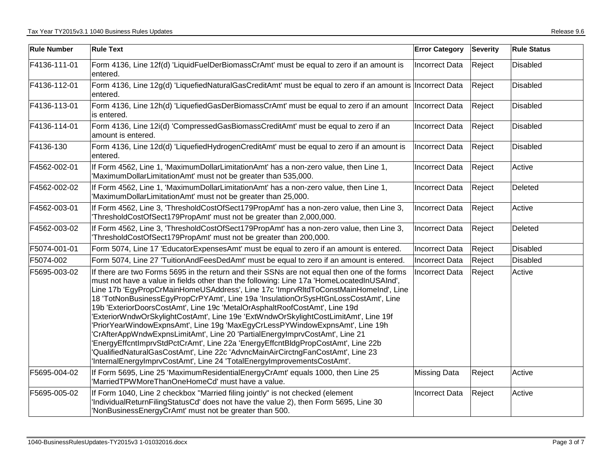| <b>Rule Number</b> | <b>Rule Text</b>                                                                                                                                                                                                                                                                                                                                                                                                                                                                                                                                                                                                                                                                                                                                                                                                                                                                                                                                        | <b>Error Category</b> | Severity | <b>Rule Status</b> |
|--------------------|---------------------------------------------------------------------------------------------------------------------------------------------------------------------------------------------------------------------------------------------------------------------------------------------------------------------------------------------------------------------------------------------------------------------------------------------------------------------------------------------------------------------------------------------------------------------------------------------------------------------------------------------------------------------------------------------------------------------------------------------------------------------------------------------------------------------------------------------------------------------------------------------------------------------------------------------------------|-----------------------|----------|--------------------|
| F4136-111-01       | Form 4136, Line 12f(d) 'LiquidFuelDerBiomassCrAmt' must be equal to zero if an amount is<br>entered.                                                                                                                                                                                                                                                                                                                                                                                                                                                                                                                                                                                                                                                                                                                                                                                                                                                    | <b>Incorrect Data</b> | Reject   | Disabled           |
| F4136-112-01       | Form 4136, Line 12g(d) 'LiquefiedNaturalGasCreditAmt' must be equal to zero if an amount is Incorrect Data<br>entered.                                                                                                                                                                                                                                                                                                                                                                                                                                                                                                                                                                                                                                                                                                                                                                                                                                  |                       | Reject   | Disabled           |
| F4136-113-01       | Form 4136, Line 12h(d) 'LiquefiedGasDerBiomassCrAmt' must be equal to zero if an amount  Incorrect Data<br>is entered.                                                                                                                                                                                                                                                                                                                                                                                                                                                                                                                                                                                                                                                                                                                                                                                                                                  |                       | Reject   | Disabled           |
| F4136-114-01       | Form 4136, Line 12i(d) 'CompressedGasBiomassCreditAmt' must be equal to zero if an<br>amount is entered.                                                                                                                                                                                                                                                                                                                                                                                                                                                                                                                                                                                                                                                                                                                                                                                                                                                | Incorrect Data        | Reject   | Disabled           |
| F4136-130          | Form 4136, Line 12d(d) 'LiquefiedHydrogenCreditAmt' must be equal to zero if an amount is<br>entered.                                                                                                                                                                                                                                                                                                                                                                                                                                                                                                                                                                                                                                                                                                                                                                                                                                                   | Incorrect Data        | Reject   | Disabled           |
| F4562-002-01       | If Form 4562, Line 1, 'MaximumDollarLimitationAmt' has a non-zero value, then Line 1,<br>'MaximumDollarLimitationAmt' must not be greater than 535,000.                                                                                                                                                                                                                                                                                                                                                                                                                                                                                                                                                                                                                                                                                                                                                                                                 | <b>Incorrect Data</b> | Reject   | Active             |
| F4562-002-02       | If Form 4562, Line 1, 'MaximumDollarLimitationAmt' has a non-zero value, then Line 1,<br>'MaximumDollarLimitationAmt' must not be greater than 25,000.                                                                                                                                                                                                                                                                                                                                                                                                                                                                                                                                                                                                                                                                                                                                                                                                  | Incorrect Data        | Reject   | Deleted            |
| F4562-003-01       | If Form 4562, Line 3, 'ThresholdCostOfSect179PropAmt' has a non-zero value, then Line 3,<br>ThresholdCostOfSect179PropAmt' must not be greater than 2,000,000.                                                                                                                                                                                                                                                                                                                                                                                                                                                                                                                                                                                                                                                                                                                                                                                          | Incorrect Data        | Reject   | Active             |
| F4562-003-02       | If Form 4562, Line 3, 'ThresholdCostOfSect179PropAmt' has a non-zero value, then Line 3,<br>ThresholdCostOfSect179PropAmt' must not be greater than 200,000.                                                                                                                                                                                                                                                                                                                                                                                                                                                                                                                                                                                                                                                                                                                                                                                            | Incorrect Data        | Reject   | Deleted            |
| F5074-001-01       | Form 5074, Line 17 'EducatorExpensesAmt' must be equal to zero if an amount is entered.                                                                                                                                                                                                                                                                                                                                                                                                                                                                                                                                                                                                                                                                                                                                                                                                                                                                 | <b>Incorrect Data</b> | Reject   | <b>Disabled</b>    |
| F5074-002          | Form 5074, Line 27 'TuitionAndFeesDedAmt' must be equal to zero if an amount is entered.                                                                                                                                                                                                                                                                                                                                                                                                                                                                                                                                                                                                                                                                                                                                                                                                                                                                | Incorrect Data        | Reject   | Disabled           |
| F5695-003-02       | If there are two Forms 5695 in the return and their SSNs are not equal then one of the forms<br>must not have a value in fields other than the following: Line 17a 'HomeLocatedInUSAInd',<br>Line 17b 'EgyPropCrMainHomeUSAddress', Line 17c 'ImprvRItdToConstMainHomeInd', Line<br>18 'TotNonBusinessEgyPropCrPYAmt', Line 19a 'InsulationOrSysHtGnLossCostAmt', Line<br>19b 'ExteriorDoorsCostAmt', Line 19c 'MetalOrAsphaltRoofCostAmt', Line 19d<br>ExteriorWndwOrSkylightCostAmt', Line 19e 'ExtWndwOrSkylightCostLimitAmt', Line 19f<br>'PriorYearWindowExpnsAmt', Line 19g 'MaxEgyCrLessPYWindowExpnsAmt', Line 19h<br>CrAfterAppWndwExpnsLimitAmt', Line 20 'PartialEnergyImprvCostAmt', Line 21<br>EnergyEffcntImprvStdPctCrAmt', Line 22a 'EnergyEffcntBldgPropCostAmt', Line 22b<br>QualifiedNaturalGasCostAmt', Line 22c 'AdvncMainAirCirctngFanCostAmt', Line 23<br>InternalEnergyImprvCostAmt', Line 24 'TotalEnergyImprovementsCostAmt'. | Incorrect Data        | Reject   | Active             |
| F5695-004-02       | If Form 5695, Line 25 'MaximumResidentialEnergyCrAmt' equals 1000, then Line 25<br>'MarriedTPWMoreThanOneHomeCd' must have a value.                                                                                                                                                                                                                                                                                                                                                                                                                                                                                                                                                                                                                                                                                                                                                                                                                     | <b>Missing Data</b>   | Reject   | Active             |
| F5695-005-02       | If Form 1040, Line 2 checkbox "Married filing jointly" is not checked (element<br>IndividualReturnFilingStatusCd' does not have the value 2), then Form 5695, Line 30<br>'NonBusinessEnergyCrAmt' must not be greater than 500.                                                                                                                                                                                                                                                                                                                                                                                                                                                                                                                                                                                                                                                                                                                         | <b>Incorrect Data</b> | Reject   | Active             |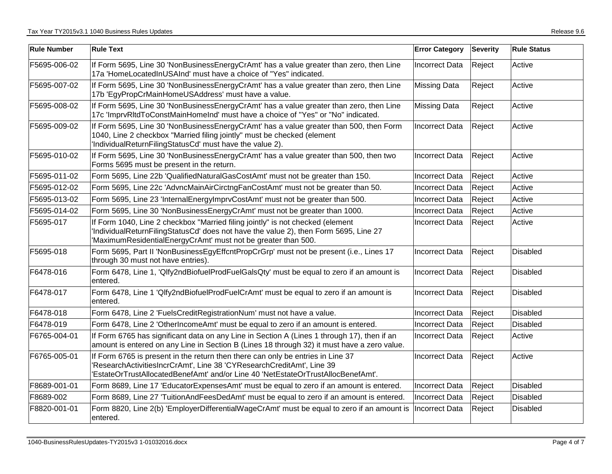| <b>Rule Number</b> | <b>Rule Text</b>                                                                                                                                                                                                                             | <b>Error Category</b> | <b>Severity</b> | <b>Rule Status</b> |
|--------------------|----------------------------------------------------------------------------------------------------------------------------------------------------------------------------------------------------------------------------------------------|-----------------------|-----------------|--------------------|
| F5695-006-02       | If Form 5695, Line 30 'NonBusinessEnergyCrAmt' has a value greater than zero, then Line<br>17a 'HomeLocatedInUSAInd' must have a choice of "Yes" indicated.                                                                                  | <b>Incorrect Data</b> | Reject          | Active             |
| F5695-007-02       | If Form 5695, Line 30 'NonBusinessEnergyCrAmt' has a value greater than zero, then Line<br>17b 'EgyPropCrMainHomeUSAddress' must have a value.                                                                                               | <b>Missing Data</b>   | Reject          | Active             |
| F5695-008-02       | If Form 5695, Line 30 'NonBusinessEnergyCrAmt' has a value greater than zero, then Line<br>17c 'ImprvRItdToConstMainHomeInd' must have a choice of "Yes" or "No" indicated.                                                                  | <b>Missing Data</b>   | Reject          | Active             |
| F5695-009-02       | If Form 5695, Line 30 'NonBusinessEnergyCrAmt' has a value greater than 500, then Form<br>1040, Line 2 checkbox "Married filing jointly" must be checked (element<br>'IndividualReturnFilingStatusCd' must have the value 2).                | Incorrect Data        | Reject          | Active             |
| F5695-010-02       | If Form 5695, Line 30 'NonBusinessEnergyCrAmt' has a value greater than 500, then two<br>Forms 5695 must be present in the return.                                                                                                           | <b>Incorrect Data</b> | Reject          | Active             |
| F5695-011-02       | Form 5695, Line 22b 'QualifiedNaturalGasCostAmt' must not be greater than 150.                                                                                                                                                               | <b>Incorrect Data</b> | Reject          | Active             |
| F5695-012-02       | Form 5695, Line 22c 'AdvncMainAirCirctngFanCostAmt' must not be greater than 50.                                                                                                                                                             | <b>Incorrect Data</b> | Reject          | Active             |
| F5695-013-02       | Form 5695, Line 23 'InternalEnergyImprvCostAmt' must not be greater than 500.                                                                                                                                                                | <b>Incorrect Data</b> | Reject          | Active             |
| F5695-014-02       | Form 5695, Line 30 'NonBusinessEnergyCrAmt' must not be greater than 1000.                                                                                                                                                                   | <b>Incorrect Data</b> | Reject          | Active             |
| F5695-017          | If Form 1040, Line 2 checkbox "Married filing jointly" is not checked (element<br>'IndividualReturnFilingStatusCd' does not have the value 2), then Form 5695, Line 27<br>'MaximumResidentialEnergyCrAmt' must not be greater than 500.      | Incorrect Data        | Reject          | Active             |
| F5695-018          | Form 5695, Part II 'NonBusinessEgyEffcntPropCrGrp' must not be present (i.e., Lines 17<br>through 30 must not have entries).                                                                                                                 | Incorrect Data        | Reject          | Disabled           |
| F6478-016          | Form 6478, Line 1, 'Qlfy2ndBiofuelProdFuelGalsQty' must be equal to zero if an amount is<br>entered.                                                                                                                                         | <b>Incorrect Data</b> | Reject          | Disabled           |
| F6478-017          | Form 6478, Line 1 'Qlfy2ndBiofuelProdFuelCrAmt' must be equal to zero if an amount is<br>entered.                                                                                                                                            | <b>Incorrect Data</b> | Reject          | Disabled           |
| F6478-018          | Form 6478, Line 2 'FuelsCreditRegistrationNum' must not have a value.                                                                                                                                                                        | <b>Incorrect Data</b> | Reject          | <b>Disabled</b>    |
| F6478-019          | Form 6478, Line 2 'OtherIncomeAmt' must be equal to zero if an amount is entered.                                                                                                                                                            | Incorrect Data        | Reject          | <b>Disabled</b>    |
| F6765-004-01       | If Form 6765 has significant data on any Line in Section A (Lines 1 through 17), then if an<br>amount is entered on any Line in Section B (Lines 18 through 32) it must have a zero value.                                                   | <b>Incorrect Data</b> | Reject          | Active             |
| F6765-005-01       | If Form 6765 is present in the return then there can only be entries in Line 37<br>'ResearchActivitiesIncrCrAmt', Line 38 'CYResearchCreditAmt', Line 39<br>'EstateOrTrustAllocatedBenefAmt' and/or Line 40 'NetEstateOrTrustAllocBenefAmt'. | Incorrect Data        | Reject          | Active             |
| F8689-001-01       | Form 8689, Line 17 'EducatorExpensesAmt' must be equal to zero if an amount is entered.                                                                                                                                                      | Incorrect Data        | Reject          | <b>Disabled</b>    |
| F8689-002          | Form 8689, Line 27 'TuitionAndFeesDedAmt' must be equal to zero if an amount is entered.                                                                                                                                                     | Incorrect Data        | Reject          | Disabled           |
| F8820-001-01       | Form 8820, Line 2(b) 'EmployerDifferentialWageCrAmt' must be equal to zero if an amount is<br>entered.                                                                                                                                       | Incorrect Data        | Reject          | Disabled           |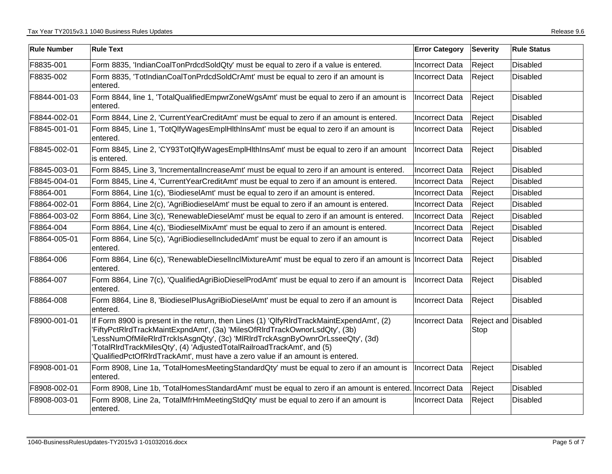| <b>Rule Number</b> | <b>Rule Text</b>                                                                                                                                                                                                                                                                                                                                                                                                  | <b>Error Category</b> | <b>Severity</b>                    | <b>Rule Status</b> |
|--------------------|-------------------------------------------------------------------------------------------------------------------------------------------------------------------------------------------------------------------------------------------------------------------------------------------------------------------------------------------------------------------------------------------------------------------|-----------------------|------------------------------------|--------------------|
| F8835-001          | Form 8835, 'IndianCoalTonPrdcdSoldQty' must be equal to zero if a value is entered.                                                                                                                                                                                                                                                                                                                               | <b>Incorrect Data</b> | Reject                             | <b>Disabled</b>    |
| F8835-002          | Form 8835, 'TotIndianCoalTonPrdcdSoldCrAmt' must be equal to zero if an amount is<br>entered.                                                                                                                                                                                                                                                                                                                     | <b>Incorrect Data</b> | Reject                             | Disabled           |
| F8844-001-03       | Form 8844, line 1, 'TotalQualifiedEmpwrZoneWgsAmt' must be equal to zero if an amount is<br>entered.                                                                                                                                                                                                                                                                                                              | Incorrect Data        | Reject                             | <b>Disabled</b>    |
| F8844-002-01       | Form 8844, Line 2, 'CurrentYearCreditAmt' must be equal to zero if an amount is entered.                                                                                                                                                                                                                                                                                                                          | <b>Incorrect Data</b> | Reject                             | <b>Disabled</b>    |
| F8845-001-01       | Form 8845, Line 1, 'TotQlfyWagesEmplHlthInsAmt' must be equal to zero if an amount is<br>entered.                                                                                                                                                                                                                                                                                                                 | <b>Incorrect Data</b> | Reject                             | <b>Disabled</b>    |
| F8845-002-01       | Form 8845, Line 2, 'CY93TotQlfyWagesEmplHlthInsAmt' must be equal to zero if an amount<br>is entered.                                                                                                                                                                                                                                                                                                             | Incorrect Data        | Reject                             | Disabled           |
| F8845-003-01       | Form 8845, Line 3, 'IncrementalIncreaseAmt' must be equal to zero if an amount is entered.                                                                                                                                                                                                                                                                                                                        | Incorrect Data        | Reject                             | Disabled           |
| F8845-004-01       | Form 8845, Line 4, 'CurrentYearCreditAmt' must be equal to zero if an amount is entered.                                                                                                                                                                                                                                                                                                                          | <b>Incorrect Data</b> | Reject                             | <b>Disabled</b>    |
| F8864-001          | Form 8864, Line 1(c), 'BiodieselAmt' must be equal to zero if an amount is entered.                                                                                                                                                                                                                                                                                                                               | <b>Incorrect Data</b> | Reject                             | Disabled           |
| F8864-002-01       | Form 8864, Line 2(c), 'AgriBiodieselAmt' must be equal to zero if an amount is entered.                                                                                                                                                                                                                                                                                                                           | <b>Incorrect Data</b> | Reject                             | Disabled           |
| F8864-003-02       | Form 8864, Line 3(c), 'RenewableDieselAmt' must be equal to zero if an amount is entered.                                                                                                                                                                                                                                                                                                                         | Incorrect Data        | Reject                             | <b>Disabled</b>    |
| F8864-004          | Form 8864, Line 4(c), 'BiodieselMixAmt' must be equal to zero if an amount is entered.                                                                                                                                                                                                                                                                                                                            | <b>Incorrect Data</b> | Reject                             | <b>Disabled</b>    |
| F8864-005-01       | Form 8864, Line 5(c), 'AgriBiodieselIncludedAmt' must be equal to zero if an amount is<br>entered.                                                                                                                                                                                                                                                                                                                | <b>Incorrect Data</b> | Reject                             | <b>Disabled</b>    |
| F8864-006          | Form 8864, Line 6(c), 'RenewableDieselInclMixtureAmt' must be equal to zero if an amount is  Incorrect Data<br>entered.                                                                                                                                                                                                                                                                                           |                       | Reject                             | <b>Disabled</b>    |
| F8864-007          | Form 8864, Line 7(c), 'QualifiedAgriBioDieselProdAmt' must be equal to zero if an amount is<br>entered.                                                                                                                                                                                                                                                                                                           | <b>Incorrect Data</b> | Reject                             | Disabled           |
| F8864-008          | Form 8864, Line 8, 'BiodieselPlusAgriBioDieselAmt' must be equal to zero if an amount is<br>entered.                                                                                                                                                                                                                                                                                                              | <b>Incorrect Data</b> | Reject                             | <b>Disabled</b>    |
| F8900-001-01       | If Form 8900 is present in the return, then Lines (1) 'QlfyRIrdTrackMaintExpendAmt', (2)<br>'FiftyPctRIrdTrackMaintExpndAmt', (3a) 'MilesOfRIrdTrackOwnorLsdQty', (3b)<br>'LessNumOfMileRIrdTrckIsAsgnQty', (3c) 'MIRIrdTrckAsgnByOwnrOrLsseeQty', (3d)<br>TotalRIrdTrackMilesQty', (4) 'AdjustedTotalRailroadTrackAmt', and (5)<br>'QualifiedPctOfRIrdTrackAmt', must have a zero value if an amount is entered. | <b>Incorrect Data</b> | <b>Reject and Disabled</b><br>Stop |                    |
| F8908-001-01       | Form 8908, Line 1a, 'TotalHomesMeetingStandardQty' must be equal to zero if an amount is<br>entered.                                                                                                                                                                                                                                                                                                              | Incorrect Data        | Reject                             | <b>Disabled</b>    |
| F8908-002-01       | Form 8908, Line 1b, 'TotalHomesStandardAmt' must be equal to zero if an amount is entered. Incorrect Data                                                                                                                                                                                                                                                                                                         |                       | Reject                             | Disabled           |
| F8908-003-01       | Form 8908, Line 2a, 'TotalMfrHmMeetingStdQty' must be equal to zero if an amount is<br>entered.                                                                                                                                                                                                                                                                                                                   | <b>Incorrect Data</b> | Reject                             | Disabled           |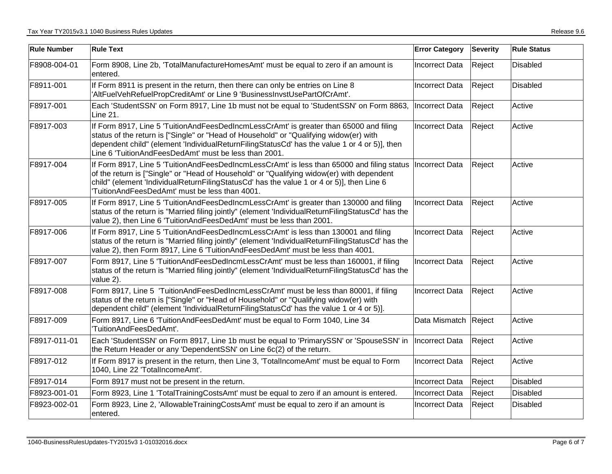| <b>Rule Number</b> | <b>Rule Text</b>                                                                                                                                                                                                                                                                                                                          | <b>Error Category</b> | <b>Severity</b> | <b>Rule Status</b> |
|--------------------|-------------------------------------------------------------------------------------------------------------------------------------------------------------------------------------------------------------------------------------------------------------------------------------------------------------------------------------------|-----------------------|-----------------|--------------------|
| F8908-004-01       | Form 8908, Line 2b, 'TotalManufactureHomesAmt' must be equal to zero if an amount is<br>entered.                                                                                                                                                                                                                                          | <b>Incorrect Data</b> | Reject          | <b>Disabled</b>    |
| F8911-001          | If Form 8911 is present in the return, then there can only be entries on Line 8<br>'AltFuelVehRefuelPropCreditAmt' or Line 9 'BusinessInvstUsePartOfCrAmt'.                                                                                                                                                                               | Incorrect Data        | Reject          | Disabled           |
| F8917-001          | Each 'StudentSSN' on Form 8917, Line 1b must not be equal to 'StudentSSN' on Form 8863,<br>Line 21.                                                                                                                                                                                                                                       | Incorrect Data        | Reject          | Active             |
| F8917-003          | If Form 8917, Line 5 'TuitionAndFeesDedIncmLessCrAmt' is greater than 65000 and filing<br>status of the return is ["Single" or "Head of Household" or "Qualifying widow(er) with<br>dependent child" (element 'IndividualReturnFilingStatusCd' has the value 1 or 4 or 5)], then<br>Line 6 'TuitionAndFeesDedAmt' must be less than 2001. | <b>Incorrect Data</b> | Reject          | Active             |
| F8917-004          | If Form 8917, Line 5 'TuitionAndFeesDedIncmLessCrAmt' is less than 65000 and filing status<br>of the return is ["Single" or "Head of Household" or "Qualifying widow(er) with dependent<br>child" (element 'IndividualReturnFilingStatusCd' has the value 1 or 4 or 5)], then Line 6<br>TuitionAndFeesDedAmt' must be less than 4001.     | Incorrect Data        | Reject          | Active             |
| F8917-005          | If Form 8917, Line 5 'TuitionAndFeesDedIncmLessCrAmt' is greater than 130000 and filing<br>status of the return is "Married filing jointly" (element 'IndividualReturnFilingStatusCd' has the<br>value 2), then Line 6 'TuitionAndFeesDedAmt' must be less than 2001.                                                                     | Incorrect Data        | Reject          | Active             |
| F8917-006          | If Form 8917, Line 5 'TuitionAndFeesDedIncmLessCrAmt' is less than 130001 and filing<br>status of the return is "Married filing jointly" (element 'IndividualReturnFilingStatusCd' has the<br>value 2), then Form 8917, Line 6 'TuitionAndFeesDedAmt' must be less than 4001.                                                             | <b>Incorrect Data</b> | Reject          | Active             |
| F8917-007          | Form 8917, Line 5 'TuitionAndFeesDedIncmLessCrAmt' must be less than 160001, if filing<br>status of the return is "Married filing jointly" (element 'IndividualReturnFilingStatusCd' has the<br>value 2).                                                                                                                                 | <b>Incorrect Data</b> | Reject          | Active             |
| F8917-008          | Form 8917, Line 5 'TuitionAndFeesDedIncmLessCrAmt' must be less than 80001, if filing<br>status of the return is ["Single" or "Head of Household" or "Qualifying widow(er) with<br>dependent child" (element 'IndividualReturnFilingStatusCd' has the value 1 or 4 or 5)].                                                                | <b>Incorrect Data</b> | Reject          | Active             |
| F8917-009          | Form 8917, Line 6 'TuitionAndFeesDedAmt' must be equal to Form 1040, Line 34<br>TuitionAndFeesDedAmt'.                                                                                                                                                                                                                                    | Data Mismatch Reject  |                 | Active             |
| F8917-011-01       | Each 'StudentSSN' on Form 8917, Line 1b must be equal to 'PrimarySSN' or 'SpouseSSN' in<br>the Return Header or any 'DependentSSN' on Line 6c(2) of the return.                                                                                                                                                                           | Incorrect Data        | Reject          | Active             |
| F8917-012          | If Form 8917 is present in the return, then Line 3, 'TotalIncomeAmt' must be equal to Form<br>1040, Line 22 'TotalIncomeAmt'.                                                                                                                                                                                                             | <b>Incorrect Data</b> | Reject          | Active             |
| F8917-014          | Form 8917 must not be present in the return.                                                                                                                                                                                                                                                                                              | Incorrect Data        | Reject          | <b>Disabled</b>    |
| F8923-001-01       | Form 8923, Line 1 'TotalTrainingCostsAmt' must be equal to zero if an amount is entered.                                                                                                                                                                                                                                                  | Incorrect Data        | Reject          | Disabled           |
| F8923-002-01       | Form 8923, Line 2, 'AllowableTrainingCostsAmt' must be equal to zero if an amount is<br>entered.                                                                                                                                                                                                                                          | <b>Incorrect Data</b> | Reject          | <b>Disabled</b>    |